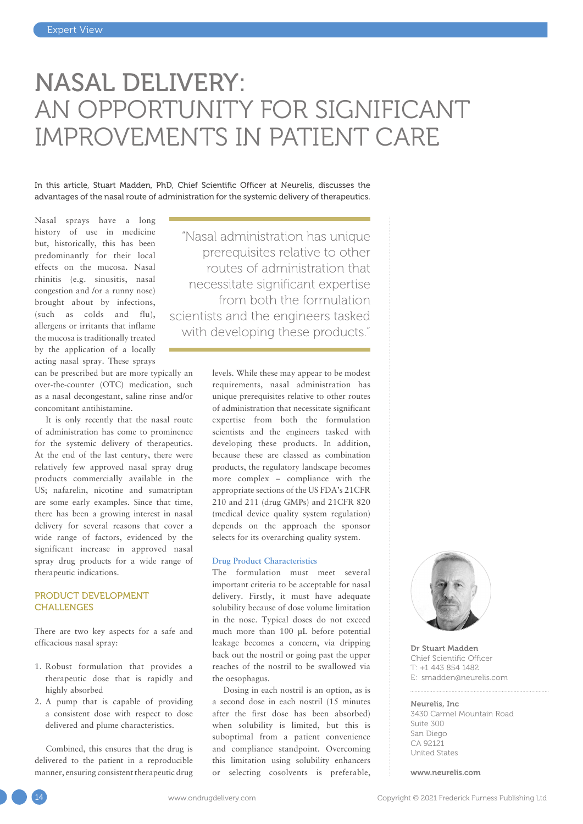# NASAL DELIVERY: AN OPPORTUNITY FOR SIGNIFICANT IMPROVEMENTS IN PATIENT CARE

In this article, Stuart Madden, PhD, Chief Scientific Officer at Neurelis, discusses the advantages of the nasal route of administration for the systemic delivery of therapeutics.

Nasal sprays have a long history of use in medicine but, historically, this has been predominantly for their local effects on the mucosa. Nasal rhinitis (e.g. sinusitis, nasal congestion and /or a runny nose) brought about by infections, (such as colds and flu), allergens or irritants that inflame the mucosa is traditionally treated by the application of a locally acting nasal spray. These sprays

can be prescribed but are more typically an over-the-counter (OTC) medication, such as a nasal decongestant, saline rinse and/or concomitant antihistamine.

It is only recently that the nasal route of administration has come to prominence for the systemic delivery of therapeutics. At the end of the last century, there were relatively few approved nasal spray drug products commercially available in the US; nafarelin, nicotine and sumatriptan are some early examples. Since that time, there has been a growing interest in nasal delivery for several reasons that cover a wide range of factors, evidenced by the significant increase in approved nasal spray drug products for a wide range of therapeutic indications.

### PRODUCT DEVELOPMENT CHALLENGES

There are two key aspects for a safe and efficacious nasal spray:

- 1. Robust formulation that provides a therapeutic dose that is rapidly and highly absorbed
- 2. A pump that is capable of providing a consistent dose with respect to dose delivered and plume characteristics.

Combined, this ensures that the drug is delivered to the patient in a reproducible manner, ensuring consistent therapeutic drug

"Nasal administration has unique prerequisites relative to other routes of administration that necessitate significant expertise from both the formulation scientists and the engineers tasked with developing these products."

> levels. While these may appear to be modest requirements, nasal administration has unique prerequisites relative to other routes of administration that necessitate significant expertise from both the formulation scientists and the engineers tasked with developing these products. In addition, because these are classed as combination products, the regulatory landscape becomes more complex – compliance with the appropriate sections of the US FDA's 21CFR 210 and 211 (drug GMPs) and 21CFR 820 (medical device quality system regulation) depends on the approach the sponsor selects for its overarching quality system.

#### **Drug Product Characteristics**

The formulation must meet several important criteria to be acceptable for nasal delivery. Firstly, it must have adequate solubility because of dose volume limitation in the nose. Typical doses do not exceed much more than 100 µL before potential leakage becomes a concern, via dripping back out the nostril or going past the upper reaches of the nostril to be swallowed via the oesophagus.

Dosing in each nostril is an option, as is a second dose in each nostril (15 minutes after the first dose has been absorbed) when solubility is limited, but this is suboptimal from a patient convenience and compliance standpoint. Overcoming this limitation using solubility enhancers or selecting cosolvents is preferable,



Dr Stuart Madden Chief Scientific Officer T: +1 443 854 1482 E: [smadden@neurelis.com](mailto:smadden@neurelis.com)

#### Neurelis, Inc

3430 Carmel Mountain Road Suite 300 San Diego CA 92121 United States

[www.neurelis.com](http://www.neurelis.com)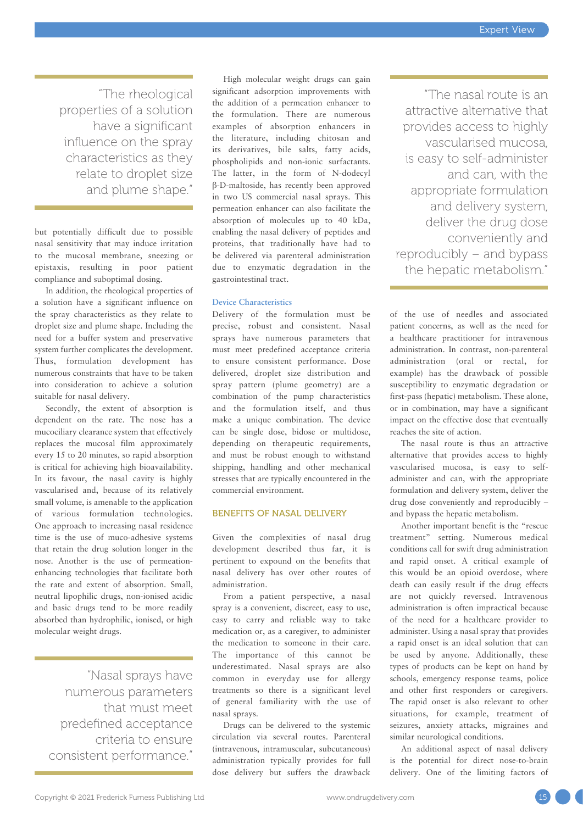"The rheological properties of a solution have a significant influence on the spray characteristics as they relate to droplet size and plume shape."

but potentially difficult due to possible nasal sensitivity that may induce irritation to the mucosal membrane, sneezing or epistaxis, resulting in poor patient compliance and suboptimal dosing.

In addition, the rheological properties of a solution have a significant influence on the spray characteristics as they relate to droplet size and plume shape. Including the need for a buffer system and preservative system further complicates the development. Thus, formulation development has numerous constraints that have to be taken into consideration to achieve a solution suitable for nasal delivery.

Secondly, the extent of absorption is dependent on the rate. The nose has a mucociliary clearance system that effectively replaces the mucosal film approximately every 15 to 20 minutes, so rapid absorption is critical for achieving high bioavailability. In its favour, the nasal cavity is highly vascularised and, because of its relatively small volume, is amenable to the application of various formulation technologies. One approach to increasing nasal residence time is the use of muco-adhesive systems that retain the drug solution longer in the nose. Another is the use of permeationenhancing technologies that facilitate both the rate and extent of absorption. Small, neutral lipophilic drugs, non-ionised acidic and basic drugs tend to be more readily absorbed than hydrophilic, ionised, or high molecular weight drugs.

"Nasal sprays have numerous parameters that must meet predefined acceptance criteria to ensure consistent performance."

High molecular weight drugs can gain significant adsorption improvements with the addition of a permeation enhancer to the formulation. There are numerous examples of absorption enhancers in the literature, including chitosan and its derivatives, bile salts, fatty acids, phospholipids and non-ionic surfactants. The latter, in the form of N-dodecyl β-D-maltoside, has recently been approved in two US commercial nasal sprays. This permeation enhancer can also facilitate the absorption of molecules up to 40 kDa, enabling the nasal delivery of peptides and proteins, that traditionally have had to be delivered via parenteral administration due to enzymatic degradation in the gastrointestinal tract.

#### **Device Characteristics**

Delivery of the formulation must be precise, robust and consistent. Nasal sprays have numerous parameters that must meet predefined acceptance criteria to ensure consistent performance. Dose delivered, droplet size distribution and spray pattern (plume geometry) are a combination of the pump characteristics and the formulation itself, and thus make a unique combination. The device can be single dose, bidose or multidose, depending on therapeutic requirements, and must be robust enough to withstand shipping, handling and other mechanical stresses that are typically encountered in the commercial environment.

#### BENEFITS OF NASAL DELIVERY

Given the complexities of nasal drug development described thus far, it is pertinent to expound on the benefits that nasal delivery has over other routes of administration.

From a patient perspective, a nasal spray is a convenient, discreet, easy to use, easy to carry and reliable way to take medication or, as a caregiver, to administer the medication to someone in their care. The importance of this cannot be underestimated. Nasal sprays are also common in everyday use for allergy treatments so there is a significant level of general familiarity with the use of nasal sprays.

Drugs can be delivered to the systemic circulation via several routes. Parenteral (intravenous, intramuscular, subcutaneous) administration typically provides for full dose delivery but suffers the drawback

"The nasal route is an attractive alternative that provides access to highly vascularised mucosa, is easy to self-administer and can, with the appropriate formulation and delivery system, deliver the drug dose conveniently and reproducibly – and bypass the hepatic metabolism."

of the use of needles and associated patient concerns, as well as the need for a healthcare practitioner for intravenous administration. In contrast, non-parenteral administration (oral or rectal, for example) has the drawback of possible susceptibility to enzymatic degradation or first-pass (hepatic) metabolism. These alone, or in combination, may have a significant impact on the effective dose that eventually reaches the site of action.

The nasal route is thus an attractive alternative that provides access to highly vascularised mucosa, is easy to selfadminister and can, with the appropriate formulation and delivery system, deliver the drug dose conveniently and reproducibly – and bypass the hepatic metabolism.

Another important benefit is the "rescue treatment" setting. Numerous medical conditions call for swift drug administration and rapid onset. A critical example of this would be an opioid overdose, where death can easily result if the drug effects are not quickly reversed. Intravenous administration is often impractical because of the need for a healthcare provider to administer. Using a nasal spray that provides a rapid onset is an ideal solution that can be used by anyone. Additionally, these types of products can be kept on hand by schools, emergency response teams, police and other first responders or caregivers. The rapid onset is also relevant to other situations, for example, treatment of seizures, anxiety attacks, migraines and similar neurological conditions.

An additional aspect of nasal delivery is the potential for direct nose-to-brain delivery. One of the limiting factors of